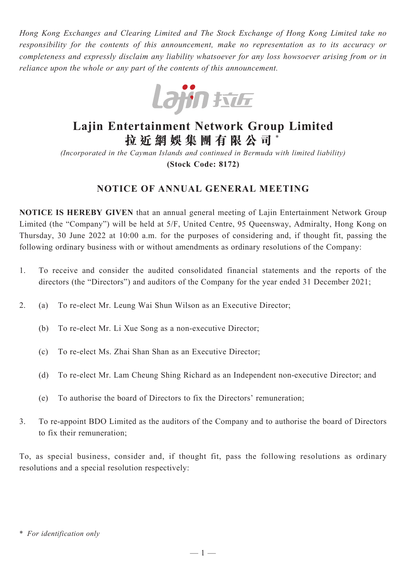*Hong Kong Exchanges and Clearing Limited and The Stock Exchange of Hong Kong Limited take no responsibility for the contents of this announcement, make no representation as to its accuracy or completeness and expressly disclaim any liability whatsoever for any loss howsoever arising from or in reliance upon the whole or any part of the contents of this announcement.*



# **Lajin Entertainment Network Group Limited 拉 近 網 娛 集 團 有 限 公 司** \*

*(Incorporated in the Cayman Islands and continued in Bermuda with limited liability)* **(Stock Code: 8172)**

## **NOTICE OF ANNUAL GENERAL MEETING**

**NOTICE IS HEREBY GIVEN** that an annual general meeting of Lajin Entertainment Network Group Limited (the "Company") will be held at 5/F, United Centre, 95 Queensway, Admiralty, Hong Kong on Thursday, 30 June 2022 at 10:00 a.m. for the purposes of considering and, if thought fit, passing the following ordinary business with or without amendments as ordinary resolutions of the Company:

- 1. To receive and consider the audited consolidated financial statements and the reports of the directors (the "Directors") and auditors of the Company for the year ended 31 December 2021;
- 2. (a) To re-elect Mr. Leung Wai Shun Wilson as an Executive Director;
	- (b) To re-elect Mr. Li Xue Song as a non-executive Director;
	- (c) To re-elect Ms. Zhai Shan Shan as an Executive Director;
	- (d) To re-elect Mr. Lam Cheung Shing Richard as an Independent non-executive Director; and
	- (e) To authorise the board of Directors to fix the Directors' remuneration;
- 3. To re-appoint BDO Limited as the auditors of the Company and to authorise the board of Directors to fix their remuneration;

To, as special business, consider and, if thought fit, pass the following resolutions as ordinary resolutions and a special resolution respectively:

<sup>\*</sup> *For identification only*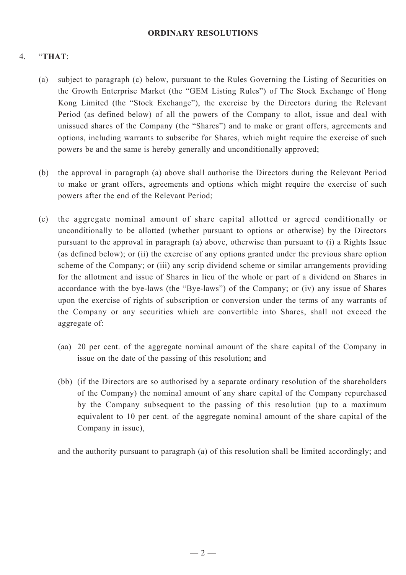#### **ORDINARY RESOLUTIONS**

### 4. "**THAT**:

- (a) subject to paragraph (c) below, pursuant to the Rules Governing the Listing of Securities on the Growth Enterprise Market (the "GEM Listing Rules") of The Stock Exchange of Hong Kong Limited (the "Stock Exchange"), the exercise by the Directors during the Relevant Period (as defined below) of all the powers of the Company to allot, issue and deal with unissued shares of the Company (the "Shares") and to make or grant offers, agreements and options, including warrants to subscribe for Shares, which might require the exercise of such powers be and the same is hereby generally and unconditionally approved;
- (b) the approval in paragraph (a) above shall authorise the Directors during the Relevant Period to make or grant offers, agreements and options which might require the exercise of such powers after the end of the Relevant Period;
- (c) the aggregate nominal amount of share capital allotted or agreed conditionally or unconditionally to be allotted (whether pursuant to options or otherwise) by the Directors pursuant to the approval in paragraph (a) above, otherwise than pursuant to (i) a Rights Issue (as defined below); or (ii) the exercise of any options granted under the previous share option scheme of the Company; or (iii) any scrip dividend scheme or similar arrangements providing for the allotment and issue of Shares in lieu of the whole or part of a dividend on Shares in accordance with the bye-laws (the "Bye-laws") of the Company; or (iv) any issue of Shares upon the exercise of rights of subscription or conversion under the terms of any warrants of the Company or any securities which are convertible into Shares, shall not exceed the aggregate of:
	- (aa) 20 per cent. of the aggregate nominal amount of the share capital of the Company in issue on the date of the passing of this resolution; and
	- (bb) (if the Directors are so authorised by a separate ordinary resolution of the shareholders of the Company) the nominal amount of any share capital of the Company repurchased by the Company subsequent to the passing of this resolution (up to a maximum equivalent to 10 per cent. of the aggregate nominal amount of the share capital of the Company in issue),

and the authority pursuant to paragraph (a) of this resolution shall be limited accordingly; and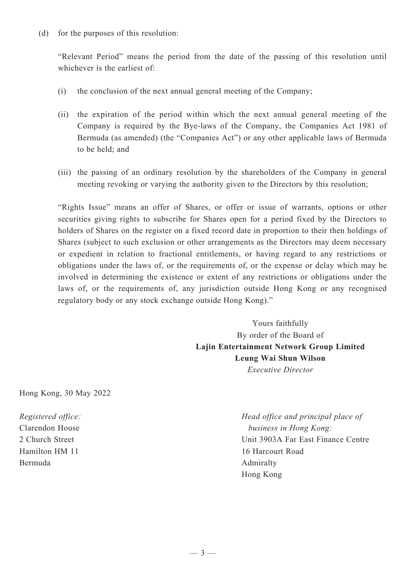"Relevant Period" means the period from the date of the passing of this resolution until whichever is the earliest of:

- (i) the conclusion of the next annual general meeting of the Company;
- (ii) the expiration of the period within which the next annual general meeting of the Company is required by the Bye-laws of the Company, the Companies Act 1981 of Bermuda (as amended) (the "Companies Act") or any other applicable laws of Bermuda to be held; and
- (iii) the passing of an ordinary resolution by the shareholders of the Company in general meeting revoking or varying the authority given to the Directors by this resolution;

"Rights Issue" means an offer of Shares, or offer or issue of warrants, options or other securities giving rights to subscribe for Shares open for a period fixed by the Directors to holders of Shares on the register on a fixed record date in proportion to their then holdings of Shares (subject to such exclusion or other arrangements as the Directors may deem necessary or expedient in relation to fractional entitlements, or having regard to any restrictions or obligations under the laws of, or the requirements of, or the expense or delay which may be involved in determining the existence or extent of any restrictions or obligations under the laws of, or the requirements of, any jurisdiction outside Hong Kong or any recognised regulatory body or any stock exchange outside Hong Kong)."

> Yours faithfully By order of the Board of **Lajin Entertainment Network Group Limited Leung Wai Shun Wilson** *Executive Director*

Hong Kong, 30 May 2022

*Registered office:* Clarendon House 2 Church Street Hamilton HM 11 Bermuda

*Head office and principal place of business in Hong Kong:* Unit 3903A Far East Finance Centre 16 Harcourt Road Admiralty Hong Kong